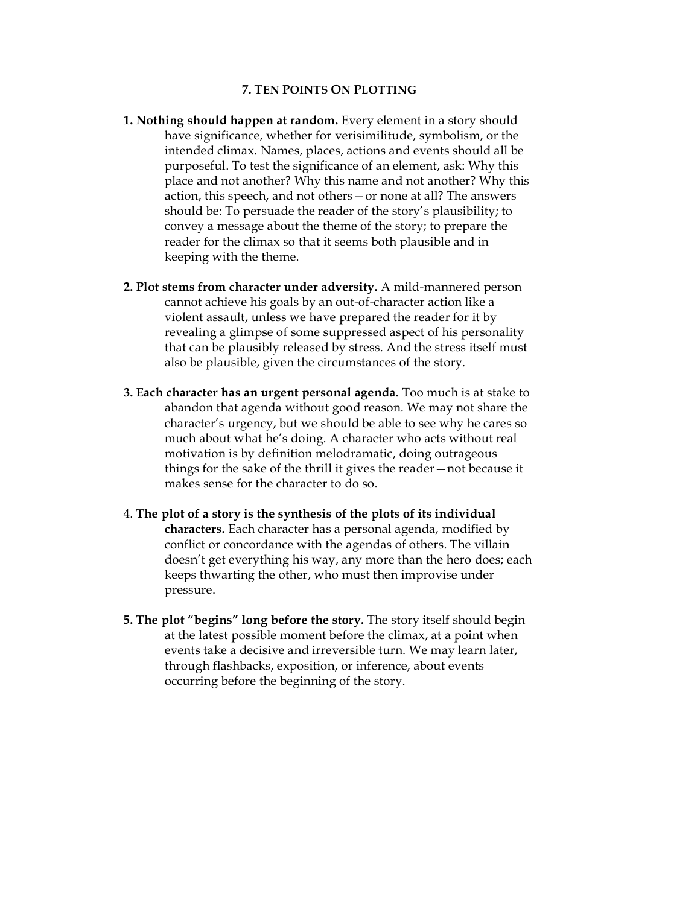## **7. TEN POINTS ON PLOTTING**

- **1. Nothing should happen at random.** Every element in a story should have significance, whether for verisimilitude, symbolism, or the intended climax. Names, places, actions and events should all be purposeful. To test the significance of an element, ask: Why this place and not another? Why this name and not another? Why this action, this speech, and not others—or none at all? The answers should be: To persuade the reader of the story's plausibility; to convey a message about the theme of the story; to prepare the reader for the climax so that it seems both plausible and in keeping with the theme.
- **2. Plot stems from character under adversity.** A mild-mannered person cannot achieve his goals by an out-of-character action like a violent assault, unless we have prepared the reader for it by revealing a glimpse of some suppressed aspect of his personality that can be plausibly released by stress. And the stress itself must also be plausible, given the circumstances of the story.
- **3. Each character has an urgent personal agenda.** Too much is at stake to abandon that agenda without good reason. We may not share the character's urgency, but we should be able to see why he cares so much about what he's doing. A character who acts without real motivation is by definition melodramatic, doing outrageous things for the sake of the thrill it gives the reader—not because it makes sense for the character to do so.
- 4. **The plot of a story is the synthesis of the plots of its individual characters.** Each character has a personal agenda, modified by conflict or concordance with the agendas of others. The villain doesn't get everything his way, any more than the hero does; each keeps thwarting the other, who must then improvise under pressure.
- **5. The plot "begins" long before the story.** The story itself should begin at the latest possible moment before the climax, at a point when events take a decisive and irreversible turn. We may learn later, through flashbacks, exposition, or inference, about events occurring before the beginning of the story.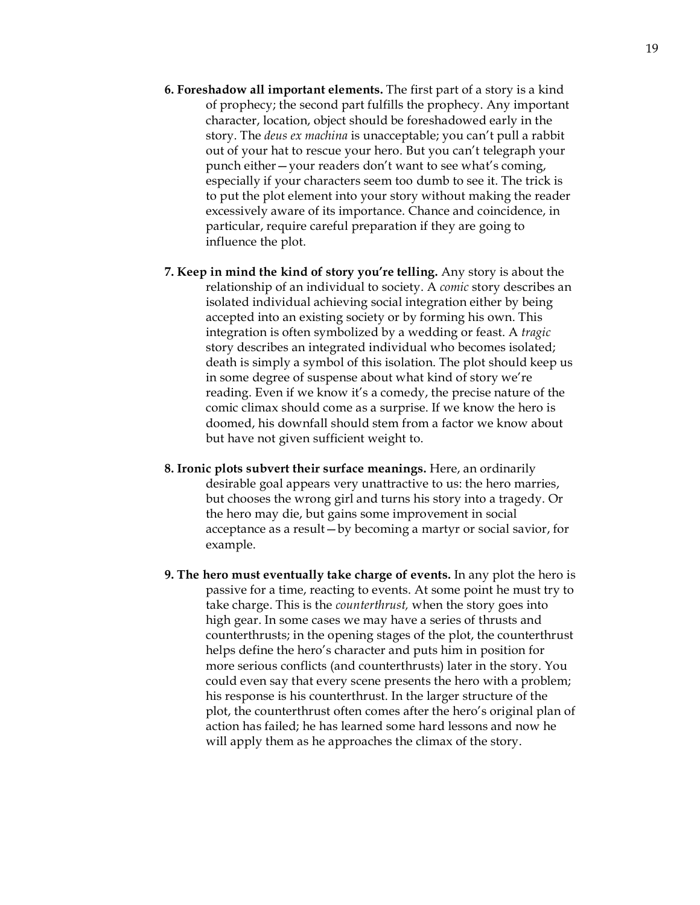- **6. Foreshadow all important elements.** The first part of a story is a kind of prophecy; the second part fulfills the prophecy. Any important character, location, object should be foreshadowed early in the story. The *deus ex machina* is unacceptable; you can't pull a rabbit out of your hat to rescue your hero. But you can't telegraph your punch either—your readers don't want to see what's coming, especially if your characters seem too dumb to see it. The trick is to put the plot element into your story without making the reader excessively aware of its importance. Chance and coincidence, in particular, require careful preparation if they are going to influence the plot.
- **7. Keep in mind the kind of story you're telling.** Any story is about the relationship of an individual to society. A *comic* story describes an isolated individual achieving social integration either by being accepted into an existing society or by forming his own. This integration is often symbolized by a wedding or feast. A *tragic* story describes an integrated individual who becomes isolated; death is simply a symbol of this isolation. The plot should keep us in some degree of suspense about what kind of story we're reading. Even if we know it's a comedy, the precise nature of the comic climax should come as a surprise. If we know the hero is doomed, his downfall should stem from a factor we know about but have not given sufficient weight to.
- **8. Ironic plots subvert their surface meanings.** Here, an ordinarily desirable goal appears very unattractive to us: the hero marries, but chooses the wrong girl and turns his story into a tragedy. Or the hero may die, but gains some improvement in social acceptance as a result—by becoming a martyr or social savior, for example.
- **9. The hero must eventually take charge of events.** In any plot the hero is passive for a time, reacting to events. At some point he must try to take charge. This is the *counterthrust,* when the story goes into high gear. In some cases we may have a series of thrusts and counterthrusts; in the opening stages of the plot, the counterthrust helps define the hero's character and puts him in position for more serious conflicts (and counterthrusts) later in the story. You could even say that every scene presents the hero with a problem; his response is his counterthrust. In the larger structure of the plot, the counterthrust often comes after the hero's original plan of action has failed; he has learned some hard lessons and now he will apply them as he approaches the climax of the story.